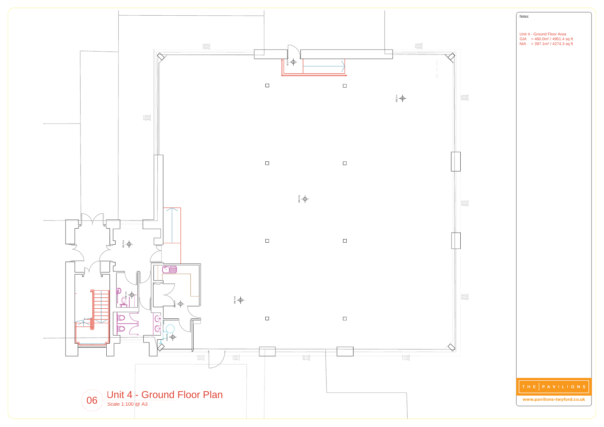|                                                                                                                                                                                                                                                                                                                                                                                                                                                                                                                                                              | Notes:                                                                                           |
|--------------------------------------------------------------------------------------------------------------------------------------------------------------------------------------------------------------------------------------------------------------------------------------------------------------------------------------------------------------------------------------------------------------------------------------------------------------------------------------------------------------------------------------------------------------|--------------------------------------------------------------------------------------------------|
|                                                                                                                                                                                                                                                                                                                                                                                                                                                                                                                                                              | Unit 4 - Ground Floor Area<br>GIA = $460.0m^2 / 4951.4$ sq ft<br>NIA = $397.1m^2 / 4274.3$ sq ft |
| $\begin{array}{l} \begin{array}{l} \text{MHS} \\ \text{MHS} \\ \text{MHS} \\ \text{MHS} \\ \text{MHS} \\ \text{MHS} \\ \text{MHS} \\ \text{MHS} \\ \text{MHS} \\ \text{MHS} \\ \text{MHS} \\ \text{MHS} \\ \text{MHS} \\ \text{MHS} \\ \text{MHS} \\ \text{MHS} \\ \text{MHS} \\ \text{MHS} \\ \text{MHS} \\ \text{MHS} \\ \text{MHS} \\ \text{MHS} \\ \text{MHS} \\ \text{MHS} \\ \text{MHS} \\ \text{MHS} \\ \text{MHS} \\ \text{MHS} \\ \text{MHS} \\ \text{$                                                                                             |                                                                                                  |
|                                                                                                                                                                                                                                                                                                                                                                                                                                                                                                                                                              |                                                                                                  |
| $\begin{array}{l} \underline{M} \, \underline{L} \, \underline{L} \, \underline{L} \, \underline{L} \, \underline{L} \, \underline{L} \, \underline{L} \, \underline{L} \, \underline{L} \, \underline{L} \, \underline{L} \, \underline{L} \, \underline{L} \, \underline{L} \, \underline{L} \, \underline{L} \, \underline{L} \, \underline{L} \, \underline{L} \, \underline{L} \, \underline{L} \, \underline{L} \, \underline{L} \, \underline{L} \, \underline{L} \, \underline{L} \, \underline{L} \, \underline{L} \, \underline{L} \, \underline{$ |                                                                                                  |
|                                                                                                                                                                                                                                                                                                                                                                                                                                                                                                                                                              |                                                                                                  |
| $\begin{array}{l} 0.0244 \\ 0.0244 \\ 0.0144 \\ 0.0144 \\ 0.0144 \\ 0.0144 \\ 0.000 \\ 0.000 \\ 0.000 \\ 0.000 \\ 0.000 \\ 0.000 \\ 0.000 \\ 0.000 \\ 0.000 \\ 0.000 \\ 0.000 \\ 0.000 \\ 0.000 \\ 0.000 \\ 0.000 \\ 0.000 \\ 0.000 \\ 0.000 \\ 0.000 \\ 0.000 \\ 0.000 \\ 0.000 \\ 0.000 \\ 0.0$                                                                                                                                                                                                                                                            |                                                                                                  |
|                                                                                                                                                                                                                                                                                                                                                                                                                                                                                                                                                              |                                                                                                  |
|                                                                                                                                                                                                                                                                                                                                                                                                                                                                                                                                                              | THE PAVILIONS                                                                                    |
|                                                                                                                                                                                                                                                                                                                                                                                                                                                                                                                                                              | www.pavilions-twyford.co.uk                                                                      |